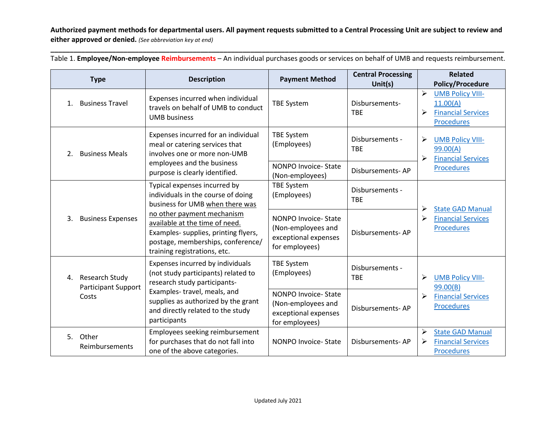**Authorized payment methods for departmental users. All payment requests submitted to a Central Processing Unit are subject to review and either approved or denied.** *(See abbreviation key at end)*

| <b>Type</b>                              |                                                       | <b>Description</b>                                                                                                                                                                                                                 | <b>Payment Method</b>                                                                      | <b>Central Processing</b><br>Unit(s) |                                                                    | <b>Related</b><br><b>Policy/Procedure</b>                                             |
|------------------------------------------|-------------------------------------------------------|------------------------------------------------------------------------------------------------------------------------------------------------------------------------------------------------------------------------------------|--------------------------------------------------------------------------------------------|--------------------------------------|--------------------------------------------------------------------|---------------------------------------------------------------------------------------|
| <b>Business Travel</b><br>1 <sub>1</sub> |                                                       | Expenses incurred when individual<br>travels on behalf of UMB to conduct<br><b>UMB</b> business                                                                                                                                    | <b>TBE System</b>                                                                          | Disbursements-<br><b>TBE</b>         | ➤<br>≻                                                             | <b>UMB Policy VIII-</b><br>11.00(A)<br><b>Financial Services</b><br><b>Procedures</b> |
| 2.                                       | <b>Business Meals</b>                                 | Expenses incurred for an individual<br>meal or catering services that<br>involves one or more non-UMB<br>employees and the business<br>purpose is clearly identified.                                                              | <b>TBE System</b><br>(Employees)                                                           | Disbursements -<br><b>TBE</b>        | ➤<br>⋗                                                             | <b>UMB Policy VIII-</b><br>99.00(A)<br><b>Financial Services</b><br><b>Procedures</b> |
|                                          |                                                       |                                                                                                                                                                                                                                    | <b>NONPO Invoice-State</b><br>(Non-employees)                                              | Disbursements-AP                     |                                                                    |                                                                                       |
|                                          | <b>Business Expenses</b>                              | Typical expenses incurred by<br>individuals in the course of doing<br>business for UMB when there was                                                                                                                              | <b>TBE System</b><br>(Employees)                                                           | Disbursements -<br><b>TBE</b>        | ≻                                                                  | <b>State GAD Manual</b>                                                               |
| 3.                                       |                                                       | no other payment mechanism<br>available at the time of need.<br>Examples- supplies, printing flyers,<br>postage, memberships, conference/<br>training registrations, etc.                                                          | NONPO Invoice-State<br>(Non-employees and<br>exceptional expenses<br>for employees)        | Disbursements-AP                     | ➢                                                                  | <b>Financial Services</b><br><b>Procedures</b>                                        |
| 4.                                       | Research Study<br><b>Participant Support</b><br>Costs | Expenses incurred by individuals<br>(not study participants) related to<br>research study participants-<br>Examples-travel, meals, and<br>supplies as authorized by the grant<br>and directly related to the study<br>participants | <b>TBE System</b><br>(Employees)                                                           | Disbursements -<br><b>TBE</b>        | ≻<br><b>UMB Policy VIII-</b><br>99.00(B)<br>≻<br><b>Procedures</b> |                                                                                       |
|                                          |                                                       |                                                                                                                                                                                                                                    | <b>NONPO Invoice-State</b><br>(Non-employees and<br>exceptional expenses<br>for employees) | Disbursements-AP                     |                                                                    | <b>Financial Services</b>                                                             |
| 5. Other<br>Reimbursements               |                                                       | Employees seeking reimbursement<br>for purchases that do not fall into<br>one of the above categories.                                                                                                                             | NONPO Invoice-State                                                                        | Disbursements-AP                     | ≻<br>➤                                                             | <b>State GAD Manual</b><br><b>Financial Services</b><br><b>Procedures</b>             |

**\_\_\_\_\_\_\_\_\_\_\_\_\_\_\_\_\_\_\_\_\_\_\_\_\_\_\_\_\_\_\_\_\_\_\_\_\_\_\_\_\_\_\_\_\_\_\_\_\_\_\_\_\_\_\_\_\_\_\_\_\_\_\_\_\_\_\_\_\_\_\_\_\_\_\_\_\_\_\_\_\_\_\_\_\_\_\_\_\_\_\_\_\_\_\_\_\_\_\_\_\_\_\_\_\_\_\_\_\_\_\_\_\_\_\_\_\_\_** Table 1. **Employee/Non-employee Reimbursements** – An individual purchases goods or services on behalf of UMB and requests reimbursement.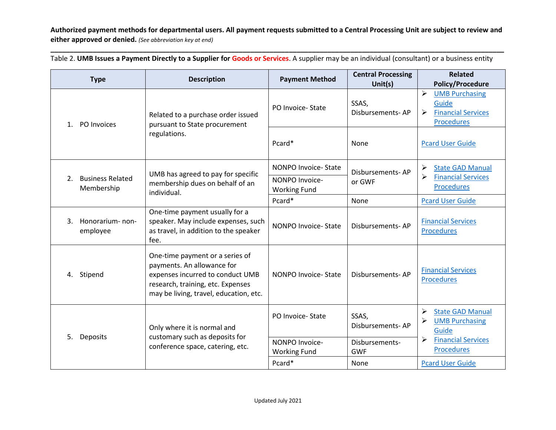**Authorized payment methods for departmental users. All payment requests submitted to a Central Processing Unit are subject to review and either approved or denied.** *(See abbreviation key at end)*

**\_\_\_\_\_\_\_\_\_\_\_\_\_\_\_\_\_\_\_\_\_\_\_\_\_\_\_\_\_\_\_\_\_\_\_\_\_\_\_\_\_\_\_\_\_\_\_\_\_\_\_\_\_\_\_\_\_\_\_\_\_\_\_\_\_\_\_\_\_\_\_\_\_\_\_\_\_\_\_\_\_\_\_\_\_\_\_\_\_\_\_\_\_\_\_\_\_\_\_\_\_\_\_\_\_\_\_\_\_\_\_\_\_\_\_\_\_\_**

| <b>Type</b>                                 | <b>Description</b>                                                                                                                                                               | <b>Payment Method</b>                 | <b>Central Processing</b><br>Unit $(s)$ | <b>Related</b><br><b>Policy/Procedure</b>                                                                      |
|---------------------------------------------|----------------------------------------------------------------------------------------------------------------------------------------------------------------------------------|---------------------------------------|-----------------------------------------|----------------------------------------------------------------------------------------------------------------|
| PO Invoices<br>$1_{-}$                      | Related to a purchase order issued<br>pursuant to State procurement<br>regulations.                                                                                              | PO Invoice-State                      | SSAS,<br>Disbursements-AP               | $\blacktriangleright$<br><b>UMB Purchasing</b><br>Guide<br><b>Financial Services</b><br>➤<br><b>Procedures</b> |
|                                             |                                                                                                                                                                                  | Pcard*                                | None                                    | <b>Pcard User Guide</b>                                                                                        |
|                                             | UMB has agreed to pay for specific<br>membership dues on behalf of an<br>individual.                                                                                             | NONPO Invoice-State                   | Disbursements-AP                        | <b>State GAD Manual</b>                                                                                        |
| <b>Business Related</b><br>2.<br>Membership |                                                                                                                                                                                  | NONPO Invoice-<br><b>Working Fund</b> | or GWF                                  | ≻<br><b>Financial Services</b><br><b>Procedures</b>                                                            |
|                                             |                                                                                                                                                                                  | Pcard*                                | None                                    | <b>Pcard User Guide</b>                                                                                        |
| Honorarium-non-<br>3.<br>employee           | One-time payment usually for a<br>speaker. May include expenses, such<br>as travel, in addition to the speaker<br>fee.                                                           | NONPO Invoice-State                   | Disbursements-AP                        | <b>Financial Services</b><br><b>Procedures</b>                                                                 |
| 4. Stipend                                  | One-time payment or a series of<br>payments. An allowance for<br>expenses incurred to conduct UMB<br>research, training, etc. Expenses<br>may be living, travel, education, etc. | NONPO Invoice-State                   | Disbursements-AP                        | <b>Financial Services</b><br><b>Procedures</b>                                                                 |
|                                             | Only where it is normal and<br>customary such as deposits for<br>conference space, catering, etc.                                                                                | PO Invoice-State                      | SSAS,<br>Disbursements-AP               | <b>State GAD Manual</b><br><b>UMB Purchasing</b><br>Guide                                                      |
| 5.<br>Deposits                              |                                                                                                                                                                                  | NONPO Invoice-<br><b>Working Fund</b> | Disbursements-<br><b>GWF</b>            | <b>Financial Services</b><br><b>Procedures</b>                                                                 |
|                                             |                                                                                                                                                                                  | Pcard*                                | None                                    | <b>Pcard User Guide</b>                                                                                        |

Table 2. **UMB Issues a Payment Directly to a Supplier for Goods or Services**. A supplier may be an individual (consultant) or a business entity